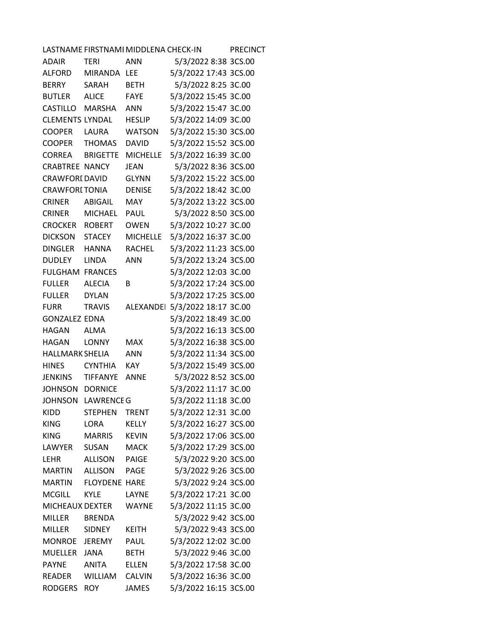| LASTNAME FIRSTNAMI MIDDLENA CHECK-IN<br><b>PRECINCT</b> |                      |                 |                                |  |  |  |
|---------------------------------------------------------|----------------------|-----------------|--------------------------------|--|--|--|
| ADAIR                                                   | <b>TERI</b>          | <b>ANN</b>      | 5/3/2022 8:38 3CS.00           |  |  |  |
| <b>ALFORD</b>                                           | MIRANDA LEE          |                 | 5/3/2022 17:43 3CS.00          |  |  |  |
| <b>BERRY</b>                                            | SARAH                | <b>BETH</b>     | 5/3/2022 8:25 3C.00            |  |  |  |
| <b>BUTLER</b>                                           | <b>ALICE</b>         | <b>FAYE</b>     | 5/3/2022 15:45 3C.00           |  |  |  |
| CASTILLO                                                | MARSHA               | <b>ANN</b>      | 5/3/2022 15:47 3C.00           |  |  |  |
| <b>CLEMENTS LYNDAL</b>                                  |                      | <b>HESLIP</b>   | 5/3/2022 14:09 3C.00           |  |  |  |
| <b>COOPER</b>                                           | LAURA                | <b>WATSON</b>   | 5/3/2022 15:30 3CS.00          |  |  |  |
| <b>COOPER</b>                                           | THOMAS               | <b>DAVID</b>    | 5/3/2022 15:52 3CS.00          |  |  |  |
| <b>CORREA</b>                                           | <b>BRIGETTE</b>      | <b>MICHELLE</b> | 5/3/2022 16:39 3C.00           |  |  |  |
| <b>CRABTREE NANCY</b>                                   |                      | <b>JEAN</b>     | 5/3/2022 8:36 3CS.00           |  |  |  |
| <b>CRAWFORI DAVID</b>                                   |                      | <b>GLYNN</b>    | 5/3/2022 15:22 3CS.00          |  |  |  |
| <b>CRAWFORITONIA</b>                                    |                      | <b>DENISE</b>   | 5/3/2022 18:42 3C.00           |  |  |  |
| <b>CRINER</b>                                           | ABIGAIL              | <b>MAY</b>      | 5/3/2022 13:22 3CS.00          |  |  |  |
| <b>CRINER</b>                                           | MICHAEL              | <b>PAUL</b>     | 5/3/2022 8:50 3CS.00           |  |  |  |
| <b>CROCKER ROBERT</b>                                   |                      | <b>OWEN</b>     | 5/3/2022 10:27 3C.00           |  |  |  |
| DICKSON                                                 | <b>STACEY</b>        | <b>MICHELLE</b> | 5/3/2022 16:37 3C.00           |  |  |  |
| <b>DINGLER</b>                                          | HANNA                | <b>RACHEL</b>   | 5/3/2022 11:23 3CS.00          |  |  |  |
| <b>DUDLEY</b>                                           | <b>LINDA</b>         | <b>ANN</b>      | 5/3/2022 13:24 3CS.00          |  |  |  |
| <b>FULGHAM FRANCES</b>                                  |                      |                 | 5/3/2022 12:03 3C.00           |  |  |  |
| <b>FULLER</b>                                           | <b>ALECIA</b>        | B               | 5/3/2022 17:24 3CS.00          |  |  |  |
| <b>FULLER</b>                                           | <b>DYLAN</b>         |                 | 5/3/2022 17:25 3CS.00          |  |  |  |
| <b>FURR</b>                                             | <b>TRAVIS</b>        |                 | ALEXANDEI 5/3/2022 18:17 3C.00 |  |  |  |
| <b>GONZALEZ EDNA</b>                                    |                      |                 | 5/3/2022 18:49 3C.00           |  |  |  |
| <b>HAGAN</b>                                            | ALMA                 |                 | 5/3/2022 16:13 3CS.00          |  |  |  |
| <b>HAGAN</b>                                            | <b>LONNY</b>         | <b>MAX</b>      | 5/3/2022 16:38 3CS.00          |  |  |  |
| <b>HALLMARK SHELIA</b>                                  |                      | <b>ANN</b>      | 5/3/2022 11:34 3CS.00          |  |  |  |
| <b>HINES</b>                                            | <b>CYNTHIA</b>       | <b>KAY</b>      | 5/3/2022 15:49 3CS.00          |  |  |  |
| <b>JENKINS</b>                                          | TIFFANYE             | <b>ANNE</b>     | 5/3/2022 8:52 3CS.00           |  |  |  |
| <b>JOHNSON</b>                                          | <b>DORNICE</b>       |                 | 5/3/2022 11:17 3C.00           |  |  |  |
|                                                         | JOHNSON LAWRENCE G   |                 | 5/3/2022 11:18 3C.00           |  |  |  |
| KIDD                                                    | <b>STEPHEN</b>       | <b>TRENT</b>    | 5/3/2022 12:31 3C.00           |  |  |  |
| <b>KING</b>                                             | <b>LORA</b>          | <b>KELLY</b>    | 5/3/2022 16:27 3CS.00          |  |  |  |
| <b>KING</b>                                             | <b>MARRIS</b>        | <b>KEVIN</b>    | 5/3/2022 17:06 3CS.00          |  |  |  |
| LAWYER                                                  | SUSAN                | <b>MACK</b>     | 5/3/2022 17:29 3CS.00          |  |  |  |
| LEHR                                                    | <b>ALLISON</b>       | <b>PAIGE</b>    | 5/3/2022 9:20 3CS.00           |  |  |  |
| <b>MARTIN</b>                                           | <b>ALLISON</b>       | <b>PAGE</b>     | 5/3/2022 9:26 3CS.00           |  |  |  |
| <b>MARTIN</b>                                           | <b>FLOYDENE HARE</b> |                 | 5/3/2022 9:24 3CS.00           |  |  |  |
| <b>MCGILL</b>                                           | <b>KYLE</b>          | LAYNE           | 5/3/2022 17:21 3C.00           |  |  |  |
| <b>MICHEAUX DEXTER</b>                                  |                      | <b>WAYNE</b>    | 5/3/2022 11:15 3C.00           |  |  |  |
| <b>MILLER</b>                                           | <b>BRENDA</b>        |                 | 5/3/2022 9:42 3CS.00           |  |  |  |
| <b>MILLER</b>                                           | <b>SIDNEY</b>        | <b>KEITH</b>    | 5/3/2022 9:43 3CS.00           |  |  |  |
| MONROE                                                  | <b>JEREMY</b>        | PAUL            | 5/3/2022 12:02 3C.00           |  |  |  |
| <b>MUELLER</b>                                          | <b>JANA</b>          | <b>BETH</b>     | 5/3/2022 9:46 3C.00            |  |  |  |
| <b>PAYNE</b>                                            | <b>ANITA</b>         | <b>ELLEN</b>    | 5/3/2022 17:58 3C.00           |  |  |  |
| <b>READER</b>                                           | <b>WILLIAM</b>       | <b>CALVIN</b>   | 5/3/2022 16:36 3C.00           |  |  |  |
| <b>RODGERS</b>                                          | <b>ROY</b>           | <b>JAMES</b>    | 5/3/2022 16:15 3CS.00          |  |  |  |